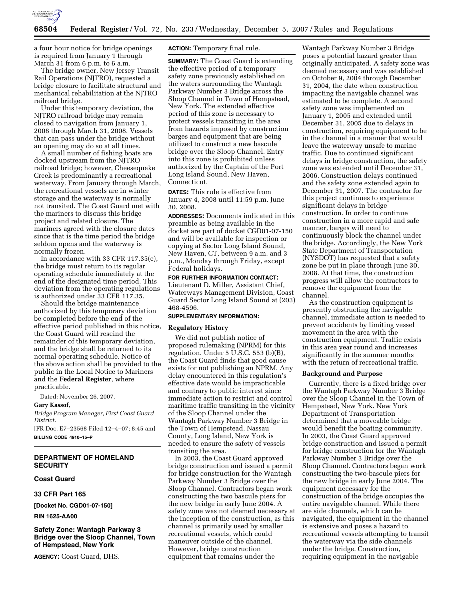

a four hour notice for bridge openings is required from January 1 through March 31 from 6 p.m. to 6 a.m.

The bridge owner, New Jersey Transit Rail Operations (NJTRO), requested a bridge closure to facilitate structural and mechanical rehabilitation at the NJTRO railroad bridge.

Under this temporary deviation, the NJTRO railroad bridge may remain closed to navigation from January 1, 2008 through March 31, 2008. Vessels that can pass under the bridge without an opening may do so at all times.

A small number of fishing boats are docked upstream from the NJTRO railroad bridge; however, Cheesequake Creek is predominantly a recreational waterway. From January through March, the recreational vessels are in winter storage and the waterway is normally not transited. The Coast Guard met with the mariners to discuss this bridge project and related closure. The mariners agreed with the closure dates since that is the time period the bridge seldom opens and the waterway is normally frozen.

In accordance with 33 CFR 117.35(e), the bridge must return to its regular operating schedule immediately at the end of the designated time period. This deviation from the operating regulations is authorized under 33 CFR 117.35.

Should the bridge maintenance authorized by this temporary deviation be completed before the end of the effective period published in this notice, the Coast Guard will rescind the remainder of this temporary deviation, and the bridge shall be returned to its normal operating schedule. Notice of the above action shall be provided to the public in the Local Notice to Mariners and the **Federal Register**, where practicable.

Dated: November 26, 2007.

## **Gary Kassof,**

*Bridge Program Manager, First Coast Guard District.* 

[FR Doc. E7–23568 Filed 12–4–07; 8:45 am] **BILLING CODE 4910–15–P** 

# **DEPARTMENT OF HOMELAND SECURITY**

## **Coast Guard**

### **33 CFR Part 165**

**[Docket No. CGD01-07-150]** 

**RIN 1625-AA00** 

# **Safety Zone: Wantagh Parkway 3 Bridge over the Sloop Channel, Town of Hempstead, New York**

**AGENCY:** Coast Guard, DHS.

**ACTION:** Temporary final rule.

**SUMMARY:** The Coast Guard is extending the effective period of a temporary safety zone previously established on the waters surrounding the Wantagh Parkway Number 3 Bridge across the Sloop Channel in Town of Hempstead, New York. The extended effective period of this zone is necessary to protect vessels transiting in the area from hazards imposed by construction barges and equipment that are being utilized to construct a new bascule bridge over the Sloop Channel. Entry into this zone is prohibited unless authorized by the Captain of the Port Long Island Sound, New Haven, Connecticut.

**DATES:** This rule is effective from January 4, 2008 until 11:59 p.m. June 30, 2008.

**ADDRESSES:** Documents indicated in this preamble as being available in the docket are part of docket CGD01-07-150 and will be available for inspection or copying at Sector Long Island Sound, New Haven, CT, between 9 a.m. and 3 p.m., Monday through Friday, except Federal holidays.

**FOR FURTHER INFORMATION CONTACT:**  Lieutenant D. Miller, Assistant Chief, Waterways Management Division, Coast Guard Sector Long Island Sound at (203) 468-4596.

## **SUPPLEMENTARY INFORMATION:**

## **Regulatory History**

We did not publish notice of proposed rulemaking (NPRM) for this regulation. Under 5 U.S.C. 553 (b)(B), the Coast Guard finds that good cause exists for not publishing an NPRM. Any delay encountered in this regulation's effective date would be impracticable and contrary to public interest since immediate action to restrict and control maritime traffic transiting in the vicinity of the Sloop Channel under the Wantagh Parkway Number 3 Bridge in the Town of Hempstead, Nassau County, Long Island, New York is needed to ensure the safety of vessels transiting the area.

In 2003, the Coast Guard approved bridge construction and issued a permit for bridge construction for the Wantagh Parkway Number 3 Bridge over the Sloop Channel. Contractors began work constructing the two bascule piers for the new bridge in early June 2004. A safety zone was not deemed necessary at the inception of the construction, as this channel is primarily used by smaller recreational vessels, which could maneuver outside of the channel. However, bridge construction equipment that remains under the

Wantagh Parkway Number 3 Bridge poses a potential hazard greater than originally anticipated. A safety zone was deemed necessary and was established on October 9, 2004 through December 31, 2004, the date when construction impacting the navigable channel was estimated to be complete. A second safety zone was implemented on January 1, 2005 and extended until December 31, 2005 due to delays in construction, requiring equipment to be in the channel in a manner that would leave the waterway unsafe to marine traffic. Due to continued significant delays in bridge construction, the safety zone was extended until December 31, 2006. Construction delays continued and the safety zone extended again to December 31, 2007. The contractor for this project continues to experience significant delays in bridge construction. In order to continue construction in a more rapid and safe manner, barges will need to continuously block the channel under the bridge. Accordingly, the New York State Department of Transportation (NYSDOT) has requested that a safety zone be put in place through June 30, 2008. At that time, the construction progress will allow the contractors to remove the equipment from the channel.

As the construction equipment is presently obstructing the navigable channel, immediate action is needed to prevent accidents by limiting vessel movement in the area with the construction equipment. Traffic exists in this area year round and increases significantly in the summer months with the return of recreational traffic.

## **Background and Purpose**

Currently, there is a fixed bridge over the Wantagh Parkway Number 3 Bridge over the Sloop Channel in the Town of Hempstead, New York. New York Department of Transportation determined that a moveable bridge would benefit the boating community. In 2003, the Coast Guard approved bridge construction and issued a permit for bridge construction for the Wantagh Parkway Number 3 Bridge over the Sloop Channel. Contractors began work constructing the two-bascule piers for the new bridge in early June 2004. The equipment necessary for the construction of the bridge occupies the entire navigable channel. While there are side channels, which can be navigated, the equipment in the channel is extensive and poses a hazard to recreational vessels attempting to transit the waterway via the side channels under the bridge. Construction, requiring equipment in the navigable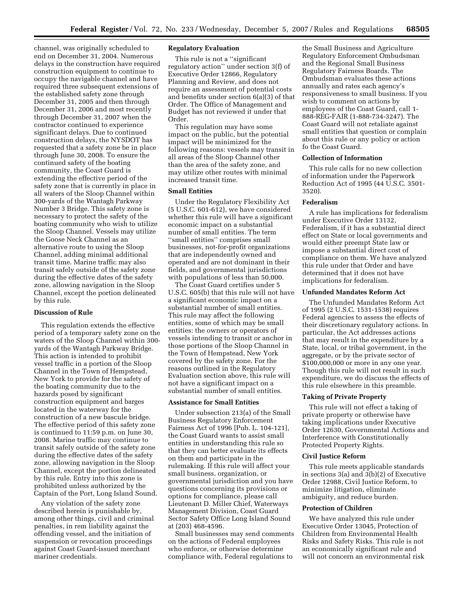channel, was originally scheduled to end on December 31, 2004. Numerous delays in the construction have required construction equipment to continue to occupy the navigable channel and have required three subsequent extensions of the established safety zone through December 31, 2005 and then through December 31, 2006 and most recently through December 31, 2007 when the contractor continued to experience significant delays. Due to continued construction delays, the NYSDOT has requested that a safety zone be in place through June 30, 2008. To ensure the continued safety of the boating community, the Coast Guard is extending the effective period of the safety zone that is currently in place in all waters of the Sloop Channel within 300-yards of the Wantagh Parkway Number 3 Bridge. This safety zone is necessary to protect the safety of the boating community who wish to utilize the Sloop Channel. Vessels may utilize the Goose Neck Channel as an alternative route to using the Sloop Channel, adding minimal additional transit time. Marine traffic may also transit safely outside of the safety zone during the effective dates of the safety zone, allowing navigation in the Sloop Channel, except the portion delineated by this rule.

### **Discussion of Rule**

This regulation extends the effective period of a temporary safety zone on the waters of the Sloop Channel within 300 yards of the Wantagh Parkway Bridge. This action is intended to prohibit vessel traffic in a portion of the Sloop Channel in the Town of Hempstead, New York to provide for the safety of the boating community due to the hazards posed by significant construction equipment and barges located in the waterway for the construction of a new bascule bridge. The effective period of this safety zone is continued to 11:59 p.m. on June 30, 2008. Marine traffic may continue to transit safely outside of the safety zone during the effective dates of the safety zone, allowing navigation in the Sloop Channel, except the portion delineated by this rule. Entry into this zone is prohibited unless authorized by the Captain of the Port, Long Island Sound.

Any violation of the safety zone described herein is punishable by, among other things, civil and criminal penalties, in rem liability against the offending vessel, and the initiation of suspension or revocation proceedings against Coast Guard-issued merchant mariner credentials.

# **Regulatory Evaluation**

This rule is not a ''significant regulatory action'' under section 3(f) of Executive Order 12866, Regulatory Planning and Review, and does not require an assessment of potential costs and benefits under section 6(a)(3) of that Order. The Office of Management and Budget has not reviewed it under that Order.

This regulation may have some impact on the public, but the potential impact will be minimized for the following reasons: vessels may transit in all areas of the Sloop Channel other than the area of the safety zone, and may utilize other routes with minimal increased transit time.

## **Small Entities**

Under the Regulatory Flexibility Act (5 U.S.C. 601-612), we have considered whether this rule will have a significant economic impact on a substantial number of small entities. The term ''small entities'' comprises small businesses, not-for-profit organizations that are independently owned and operated and are not dominant in their fields, and governmental jurisdictions with populations of less than 50,000.

The Coast Guard certifies under 5 U.S.C. 605(b) that this rule will not have a significant economic impact on a substantial number of small entities. This rule may affect the following entities, some of which may be small entities: the owners or operators of vessels intending to transit or anchor in those portions of the Sloop Channel in the Town of Hempstead, New York covered by the safety zone. For the reasons outlined in the Regulatory Evaluation section above, this rule will not have a significant impact on a substantial number of small entities.

## **Assistance for Small Entities**

Under subsection 213(a) of the Small Business Regulatory Enforcement Fairness Act of 1996 [Pub. L. 104-121], the Coast Guard wants to assist small entities in understanding this rule so that they can better evaluate its effects on them and participate in the rulemaking. If this rule will affect your small business, organization, or governmental jurisdiction and you have questions concerning its provisions or options for compliance, please call Lieutenant D. Miller Chief, Waterways Management Division, Coast Guard Sector Safety Office Long Island Sound at (203) 468-4596.

Small businesses may send comments on the actions of Federal employees who enforce, or otherwise determine compliance with, Federal regulations to

the Small Business and Agriculture Regulatory Enforcement Ombudsman and the Regional Small Business Regulatory Fairness Boards. The Ombudsman evaluates these actions annually and rates each agency's responsiveness to small business. If you wish to comment on actions by employees of the Coast Guard, call 1- 888-REG-FAIR (1-888-734-3247). The Coast Guard will not retaliate against small entities that question or complain about this rule or any policy or action fo the Coast Guard.

## **Collection of Information**

This rule calls for no new collection of information under the Paperwork Reduction Act of 1995 (44 U.S.C. 3501- 3520).

## **Federalism**

A rule has implications for federalism under Executive Order 13132, Federalism, if it has a substantial direct effect on State or local governments and would either preempt State law or impose a substantial direct cost of compliance on them. We have analyzed this rule under that Order and have determined that it does not have implications for federalism.

### **Unfunded Mandates Reform Act**

The Unfunded Mandates Reform Act of 1995 (2 U.S.C. 1531-1538) requires Federal agencies to assess the effects of their discretionary regulatory actions. In particular, the Act addresses actions that may result in the expenditure by a State, local, or tribal government, in the aggregate, or by the private sector of \$100,000,000 or more in any one year. Though this rule will not result in such expenditure, we do discuss the effects of this rule elsewhere in this preamble.

## **Taking of Private Property**

This rule will not effect a taking of private property or otherwise have taking implications under Executive Order 12630, Governmental Actions and Interference with Constitutionally Protected Property Rights.

## **Civil Justice Reform**

This rule meets applicable standards in sections 3(a) and 3(b)(2) of Executive Order 12988, Civil Justice Reform, to minimize litigation, eliminate ambiguity, and reduce burden.

#### **Protection of Children**

We have analyzed this rule under Executive Order 13045, Protection of Children from Environmental Health Risks and Safety Risks. This rule is not an economically significant rule and will not concern an environmental risk